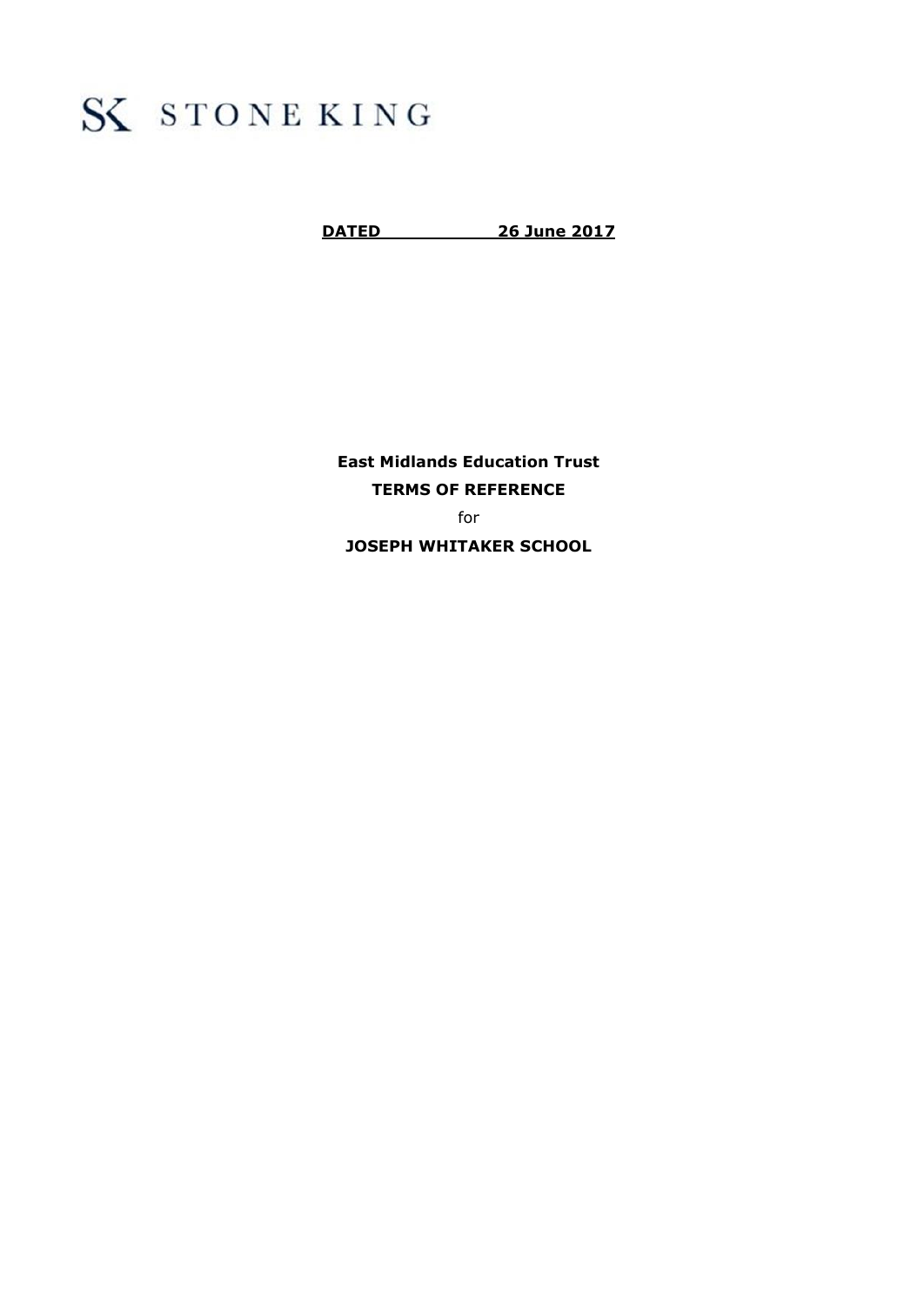# S STONE KING

**DATED 26 June 2017**

**East Midlands Education Trust TERMS OF REFERENCE** for **JOSEPH WHITAKER SCHOOL**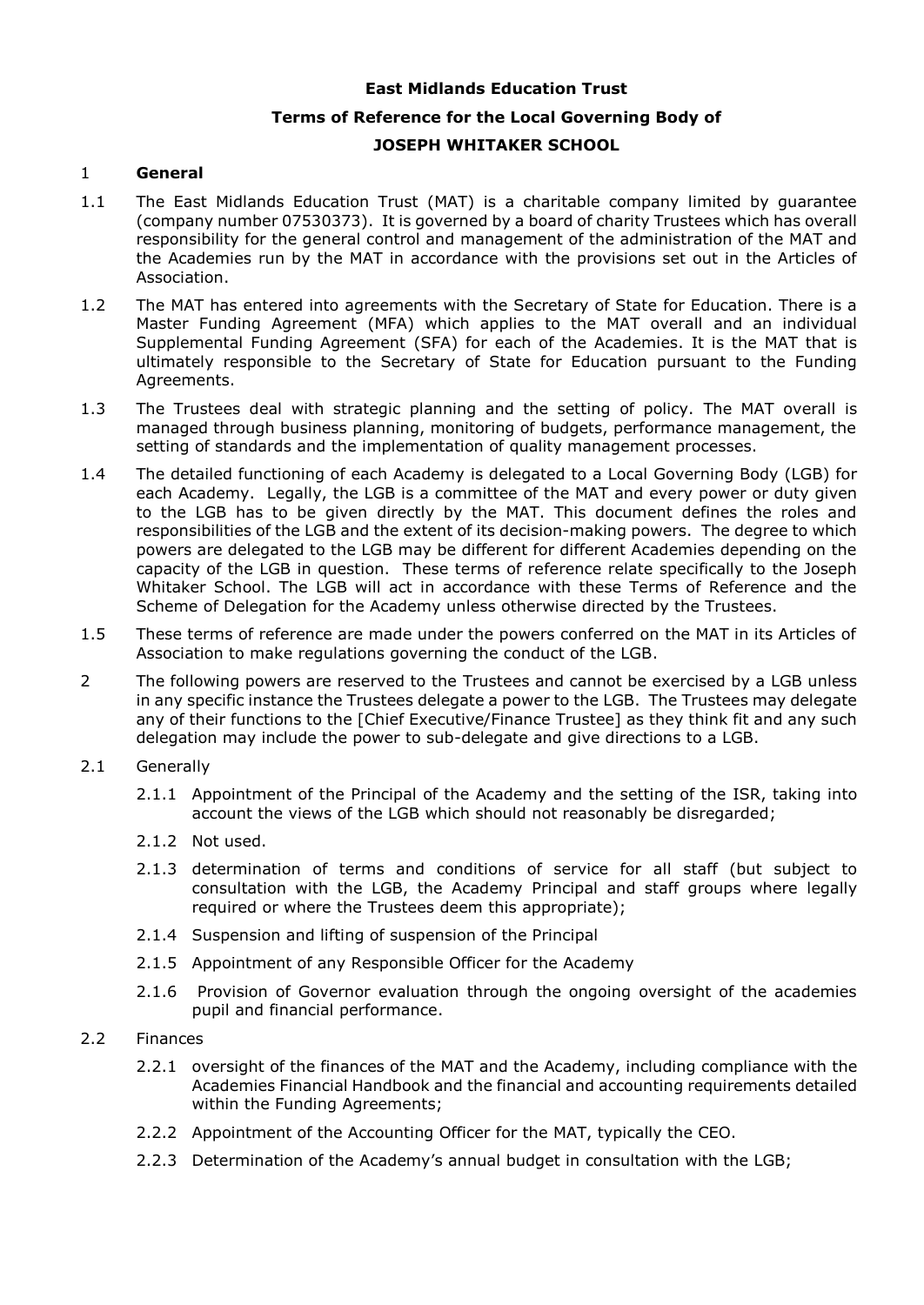### **East Midlands Education Trust**

## **Terms of Reference for the Local Governing Body of JOSEPH WHITAKER SCHOOL**

#### 1 **General**

- 1.1 The East Midlands Education Trust (MAT) is a charitable company limited by guarantee (company number 07530373). It is governed by a board of charity Trustees which has overall responsibility for the general control and management of the administration of the MAT and the Academies run by the MAT in accordance with the provisions set out in the Articles of Association.
- 1.2 The MAT has entered into agreements with the Secretary of State for Education. There is a Master Funding Agreement (MFA) which applies to the MAT overall and an individual Supplemental Funding Agreement (SFA) for each of the Academies. It is the MAT that is ultimately responsible to the Secretary of State for Education pursuant to the Funding Agreements.
- 1.3 The Trustees deal with strategic planning and the setting of policy. The MAT overall is managed through business planning, monitoring of budgets, performance management, the setting of standards and the implementation of quality management processes.
- 1.4 The detailed functioning of each Academy is delegated to a Local Governing Body (LGB) for each Academy. Legally, the LGB is a committee of the MAT and every power or duty given to the LGB has to be given directly by the MAT. This document defines the roles and responsibilities of the LGB and the extent of its decision-making powers. The degree to which powers are delegated to the LGB may be different for different Academies depending on the capacity of the LGB in question. These terms of reference relate specifically to the Joseph Whitaker School. The LGB will act in accordance with these Terms of Reference and the Scheme of Delegation for the Academy unless otherwise directed by the Trustees.
- 1.5 These terms of reference are made under the powers conferred on the MAT in its Articles of Association to make regulations governing the conduct of the LGB.
- 2 The following powers are reserved to the Trustees and cannot be exercised by a LGB unless in any specific instance the Trustees delegate a power to the LGB. The Trustees may delegate any of their functions to the [Chief Executive/Finance Trustee] as they think fit and any such delegation may include the power to sub-delegate and give directions to a LGB.
- 2.1 Generally
	- 2.1.1 Appointment of the Principal of the Academy and the setting of the ISR, taking into account the views of the LGB which should not reasonably be disregarded;
	- 2.1.2 Not used.
	- 2.1.3 determination of terms and conditions of service for all staff (but subject to consultation with the LGB, the Academy Principal and staff groups where legally required or where the Trustees deem this appropriate);
	- 2.1.4 Suspension and lifting of suspension of the Principal
	- 2.1.5 Appointment of any Responsible Officer for the Academy
	- 2.1.6 Provision of Governor evaluation through the ongoing oversight of the academies pupil and financial performance.

#### 2.2 Finances

- 2.2.1 oversight of the finances of the MAT and the Academy, including compliance with the Academies Financial Handbook and the financial and accounting requirements detailed within the Funding Agreements;
- 2.2.2 Appointment of the Accounting Officer for the MAT, typically the CEO.
- 2.2.3 Determination of the Academy's annual budget in consultation with the LGB;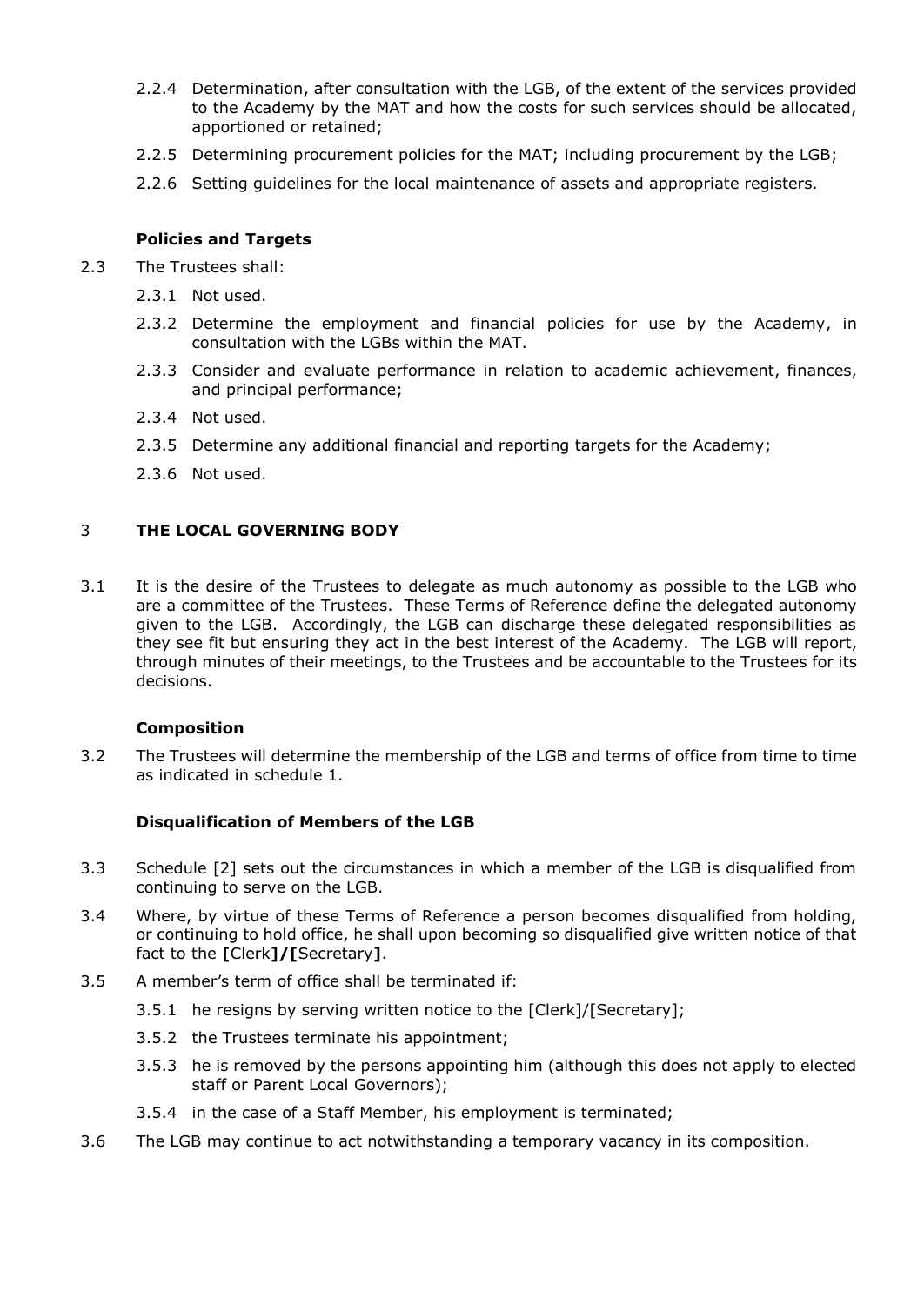- 2.2.4 Determination, after consultation with the LGB, of the extent of the services provided to the Academy by the MAT and how the costs for such services should be allocated, apportioned or retained;
- 2.2.5 Determining procurement policies for the MAT; including procurement by the LGB;
- 2.2.6 Setting guidelines for the local maintenance of assets and appropriate registers.

## **Policies and Targets**

- 2.3 The Trustees shall:
	- 2.3.1 Not used.
	- 2.3.2 Determine the employment and financial policies for use by the Academy, in consultation with the LGBs within the MAT.
	- 2.3.3 Consider and evaluate performance in relation to academic achievement, finances, and principal performance;
	- 2.3.4 Not used.
	- 2.3.5 Determine any additional financial and reporting targets for the Academy;
	- 2.3.6 Not used.

## 3 **THE LOCAL GOVERNING BODY**

3.1 It is the desire of the Trustees to delegate as much autonomy as possible to the LGB who are a committee of the Trustees. These Terms of Reference define the delegated autonomy given to the LGB. Accordingly, the LGB can discharge these delegated responsibilities as they see fit but ensuring they act in the best interest of the Academy. The LGB will report, through minutes of their meetings, to the Trustees and be accountable to the Trustees for its decisions.

## **Composition**

3.2 The Trustees will determine the membership of the LGB and terms of office from time to time as indicated in schedule 1.

## **Disqualification of Members of the LGB**

- 3.3 Schedule [2] sets out the circumstances in which a member of the LGB is disqualified from continuing to serve on the LGB.
- 3.4 Where, by virtue of these Terms of Reference a person becomes disqualified from holding, or continuing to hold office, he shall upon becoming so disqualified give written notice of that fact to the **[**Clerk**]/[**Secretary**]**.
- 3.5 A member's term of office shall be terminated if:
	- 3.5.1 he resigns by serving written notice to the [Clerk]/[Secretary];
	- 3.5.2 the Trustees terminate his appointment;
	- 3.5.3 he is removed by the persons appointing him (although this does not apply to elected staff or Parent Local Governors);
	- 3.5.4 in the case of a Staff Member, his employment is terminated;
- 3.6 The LGB may continue to act notwithstanding a temporary vacancy in its composition.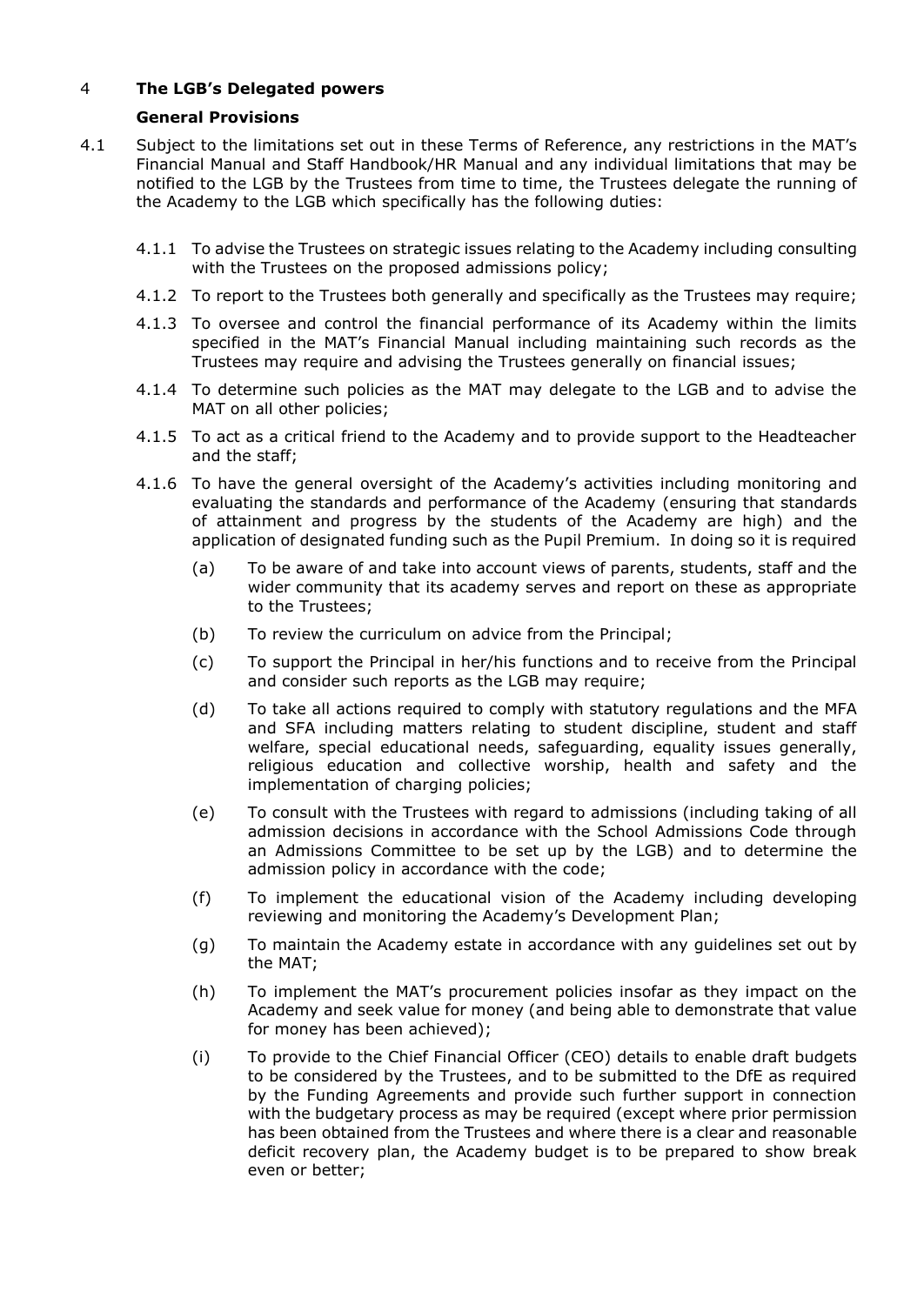## 4 **The LGB's Delegated powers**

## **General Provisions**

- 4.1 Subject to the limitations set out in these Terms of Reference, any restrictions in the MAT's Financial Manual and Staff Handbook/HR Manual and any individual limitations that may be notified to the LGB by the Trustees from time to time, the Trustees delegate the running of the Academy to the LGB which specifically has the following duties:
	- 4.1.1 To advise the Trustees on strategic issues relating to the Academy including consulting with the Trustees on the proposed admissions policy;
	- 4.1.2 To report to the Trustees both generally and specifically as the Trustees may require;
	- 4.1.3 To oversee and control the financial performance of its Academy within the limits specified in the MAT's Financial Manual including maintaining such records as the Trustees may require and advising the Trustees generally on financial issues;
	- 4.1.4 To determine such policies as the MAT may delegate to the LGB and to advise the MAT on all other policies;
	- 4.1.5 To act as a critical friend to the Academy and to provide support to the Headteacher and the staff;
	- 4.1.6 To have the general oversight of the Academy's activities including monitoring and evaluating the standards and performance of the Academy (ensuring that standards of attainment and progress by the students of the Academy are high) and the application of designated funding such as the Pupil Premium. In doing so it is required
		- (a) To be aware of and take into account views of parents, students, staff and the wider community that its academy serves and report on these as appropriate to the Trustees;
		- (b) To review the curriculum on advice from the Principal;
		- (c) To support the Principal in her/his functions and to receive from the Principal and consider such reports as the LGB may require;
		- (d) To take all actions required to comply with statutory regulations and the MFA and SFA including matters relating to student discipline, student and staff welfare, special educational needs, safeguarding, equality issues generally, religious education and collective worship, health and safety and the implementation of charging policies;
		- (e) To consult with the Trustees with regard to admissions (including taking of all admission decisions in accordance with the School Admissions Code through an Admissions Committee to be set up by the LGB) and to determine the admission policy in accordance with the code;
		- (f) To implement the educational vision of the Academy including developing reviewing and monitoring the Academy's Development Plan;
		- (g) To maintain the Academy estate in accordance with any guidelines set out by the MAT;
		- (h) To implement the MAT's procurement policies insofar as they impact on the Academy and seek value for money (and being able to demonstrate that value for money has been achieved);
		- (i) To provide to the Chief Financial Officer (CEO) details to enable draft budgets to be considered by the Trustees, and to be submitted to the DfE as required by the Funding Agreements and provide such further support in connection with the budgetary process as may be required (except where prior permission has been obtained from the Trustees and where there is a clear and reasonable deficit recovery plan, the Academy budget is to be prepared to show break even or better;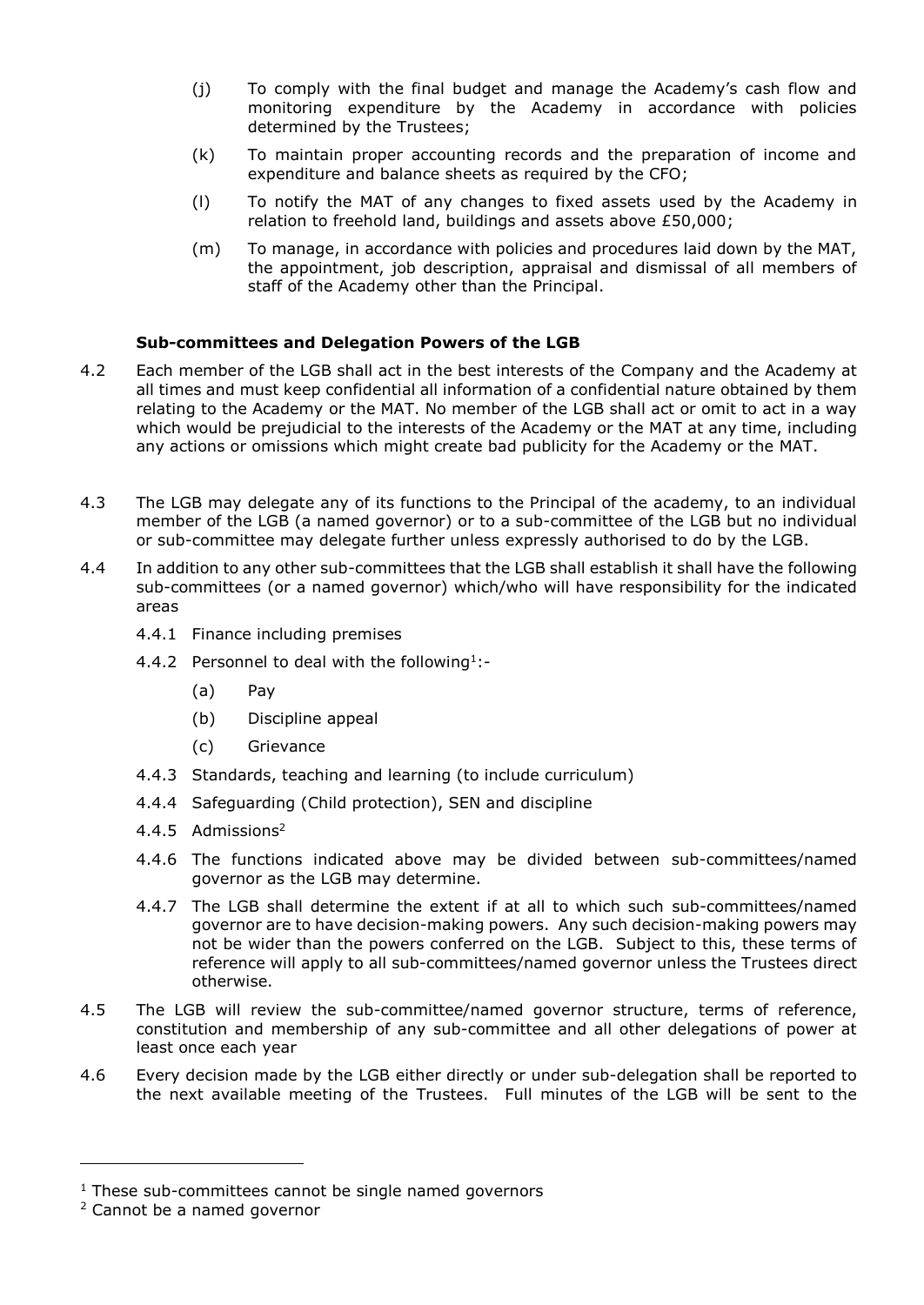- (j) To comply with the final budget and manage the Academy's cash flow and monitoring expenditure by the Academy in accordance with policies determined by the Trustees;
- (k) To maintain proper accounting records and the preparation of income and expenditure and balance sheets as required by the CFO;
- (l) To notify the MAT of any changes to fixed assets used by the Academy in relation to freehold land, buildings and assets above £50,000;
- (m) To manage, in accordance with policies and procedures laid down by the MAT, the appointment, job description, appraisal and dismissal of all members of staff of the Academy other than the Principal.

### **Sub-committees and Delegation Powers of the LGB**

- 4.2 Each member of the LGB shall act in the best interests of the Company and the Academy at all times and must keep confidential all information of a confidential nature obtained by them relating to the Academy or the MAT. No member of the LGB shall act or omit to act in a way which would be prejudicial to the interests of the Academy or the MAT at any time, including any actions or omissions which might create bad publicity for the Academy or the MAT.
- 4.3 The LGB may delegate any of its functions to the Principal of the academy, to an individual member of the LGB (a named governor) or to a sub-committee of the LGB but no individual or sub-committee may delegate further unless expressly authorised to do by the LGB.
- 4.4 In addition to any other sub-committees that the LGB shall establish it shall have the following sub-committees (or a named governor) which/who will have responsibility for the indicated areas
	- 4.4.1 Finance including premises
	- 4.4.2 Personnel to deal with the following<sup>1</sup>:-
		- (a) Pay
		- (b) Discipline appeal
		- (c) Grievance
	- 4.4.3 Standards, teaching and learning (to include curriculum)
	- 4.4.4 Safeguarding (Child protection), SEN and discipline
	- 4.4.5 Admissions<sup>2</sup>
	- 4.4.6 The functions indicated above may be divided between sub-committees/named governor as the LGB may determine.
	- 4.4.7 The LGB shall determine the extent if at all to which such sub-committees/named governor are to have decision-making powers. Any such decision-making powers may not be wider than the powers conferred on the LGB. Subject to this, these terms of reference will apply to all sub-committees/named governor unless the Trustees direct otherwise.
- 4.5 The LGB will review the sub-committee/named governor structure, terms of reference, constitution and membership of any sub-committee and all other delegations of power at least once each year
- 4.6 Every decision made by the LGB either directly or under sub-delegation shall be reported to the next available meeting of the Trustees. Full minutes of the LGB will be sent to the

 $1$  These sub-committees cannot be single named governors

<sup>2</sup> Cannot be a named governor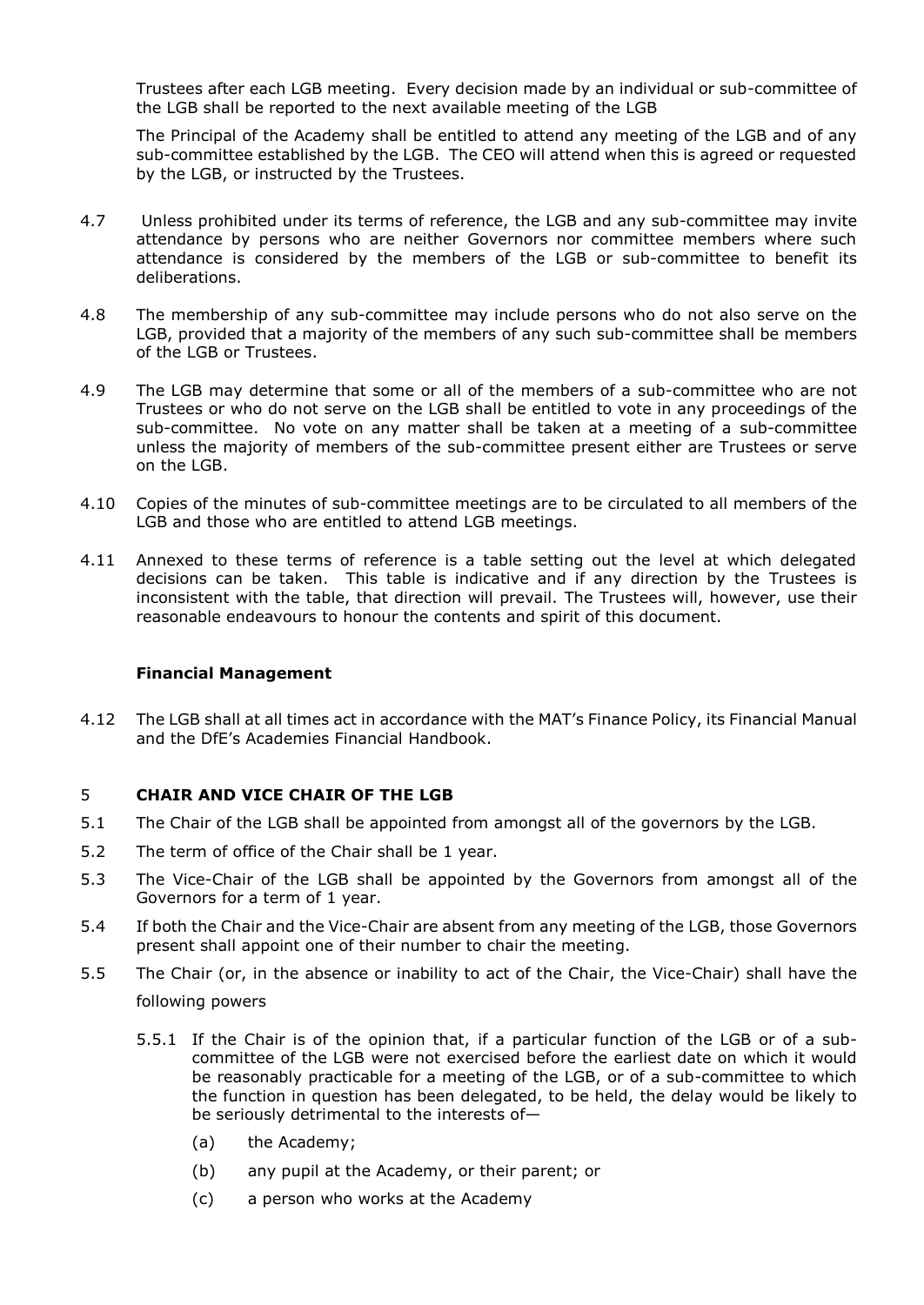Trustees after each LGB meeting. Every decision made by an individual or sub-committee of the LGB shall be reported to the next available meeting of the LGB

The Principal of the Academy shall be entitled to attend any meeting of the LGB and of any sub-committee established by the LGB. The CEO will attend when this is agreed or requested by the LGB, or instructed by the Trustees.

- 4.7 Unless prohibited under its terms of reference, the LGB and any sub-committee may invite attendance by persons who are neither Governors nor committee members where such attendance is considered by the members of the LGB or sub-committee to benefit its deliberations.
- 4.8 The membership of any sub-committee may include persons who do not also serve on the LGB, provided that a majority of the members of any such sub-committee shall be members of the LGB or Trustees.
- 4.9 The LGB may determine that some or all of the members of a sub-committee who are not Trustees or who do not serve on the LGB shall be entitled to vote in any proceedings of the sub-committee. No vote on any matter shall be taken at a meeting of a sub-committee unless the majority of members of the sub-committee present either are Trustees or serve on the LGB.
- 4.10 Copies of the minutes of sub-committee meetings are to be circulated to all members of the LGB and those who are entitled to attend LGB meetings.
- 4.11 Annexed to these terms of reference is a table setting out the level at which delegated decisions can be taken. This table is indicative and if any direction by the Trustees is inconsistent with the table, that direction will prevail. The Trustees will, however, use their reasonable endeavours to honour the contents and spirit of this document.

#### **Financial Management**

4.12 The LGB shall at all times act in accordance with the MAT's Finance Policy, its Financial Manual and the DfE's Academies Financial Handbook.

#### 5 **CHAIR AND VICE CHAIR OF THE LGB**

- 5.1 The Chair of the LGB shall be appointed from amongst all of the governors by the LGB.
- 5.2 The term of office of the Chair shall be 1 year.
- 5.3 The Vice-Chair of the LGB shall be appointed by the Governors from amongst all of the Governors for a term of 1 year.
- 5.4 If both the Chair and the Vice-Chair are absent from any meeting of the LGB, those Governors present shall appoint one of their number to chair the meeting.
- 5.5 The Chair (or, in the absence or inability to act of the Chair, the Vice-Chair) shall have the following powers
	- 5.5.1 If the Chair is of the opinion that, if a particular function of the LGB or of a subcommittee of the LGB were not exercised before the earliest date on which it would be reasonably practicable for a meeting of the LGB, or of a sub-committee to which the function in question has been delegated, to be held, the delay would be likely to be seriously detrimental to the interests of—
		- (a) the Academy;
		- (b) any pupil at the Academy, or their parent; or
		- (c) a person who works at the Academy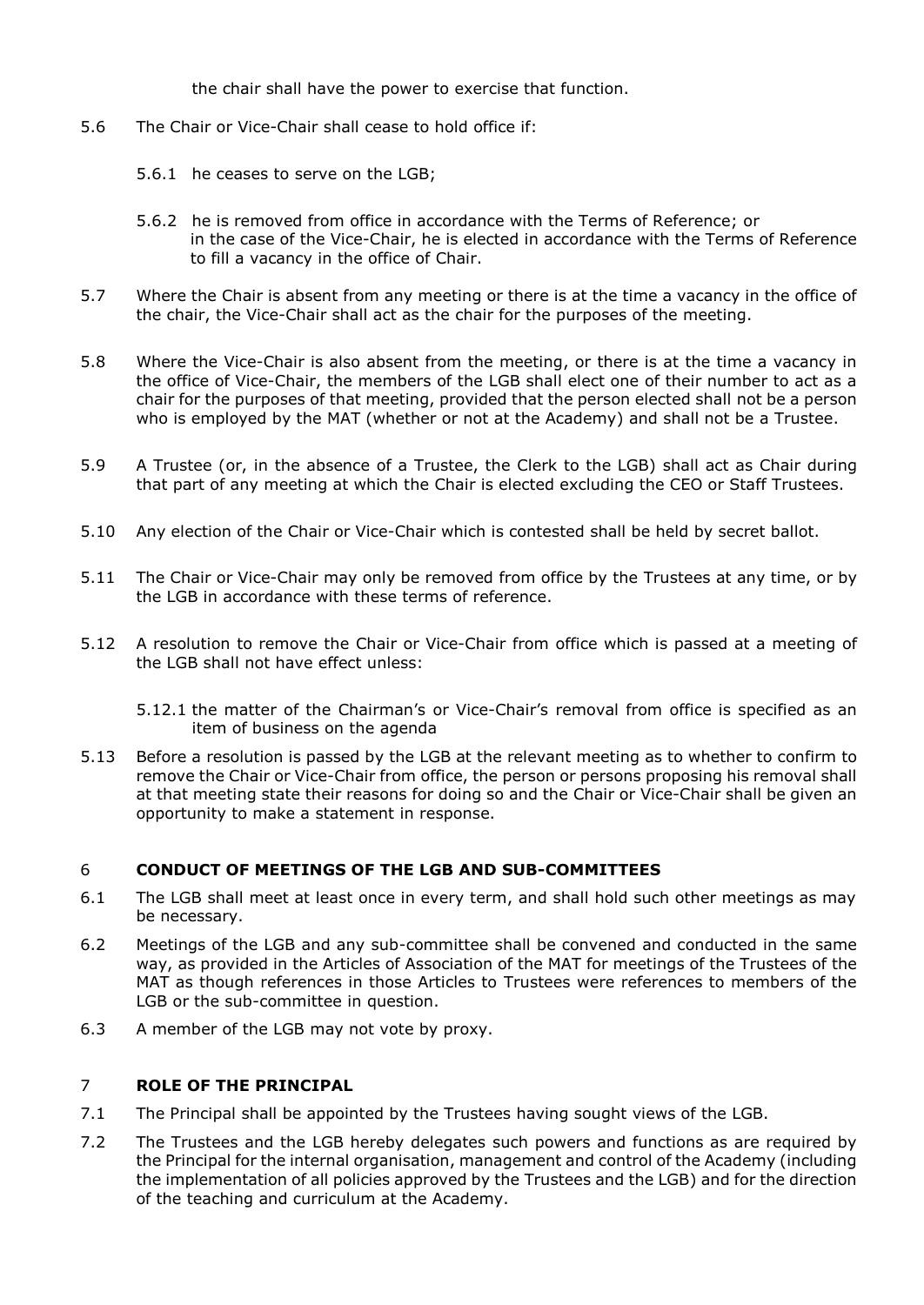the chair shall have the power to exercise that function.

- 5.6 The Chair or Vice-Chair shall cease to hold office if:
	- 5.6.1 he ceases to serve on the LGB;
	- 5.6.2 he is removed from office in accordance with the Terms of Reference; or in the case of the Vice-Chair, he is elected in accordance with the Terms of Reference to fill a vacancy in the office of Chair.
- 5.7 Where the Chair is absent from any meeting or there is at the time a vacancy in the office of the chair, the Vice-Chair shall act as the chair for the purposes of the meeting.
- 5.8 Where the Vice-Chair is also absent from the meeting, or there is at the time a vacancy in the office of Vice-Chair, the members of the LGB shall elect one of their number to act as a chair for the purposes of that meeting, provided that the person elected shall not be a person who is employed by the MAT (whether or not at the Academy) and shall not be a Trustee.
- 5.9 A Trustee (or, in the absence of a Trustee, the Clerk to the LGB) shall act as Chair during that part of any meeting at which the Chair is elected excluding the CEO or Staff Trustees.
- 5.10 Any election of the Chair or Vice-Chair which is contested shall be held by secret ballot.
- 5.11 The Chair or Vice-Chair may only be removed from office by the Trustees at any time, or by the LGB in accordance with these terms of reference.
- 5.12 A resolution to remove the Chair or Vice-Chair from office which is passed at a meeting of the LGB shall not have effect unless:
	- 5.12.1 the matter of the Chairman's or Vice-Chair's removal from office is specified as an item of business on the agenda
- 5.13 Before a resolution is passed by the LGB at the relevant meeting as to whether to confirm to remove the Chair or Vice-Chair from office, the person or persons proposing his removal shall at that meeting state their reasons for doing so and the Chair or Vice-Chair shall be given an opportunity to make a statement in response.

## 6 **CONDUCT OF MEETINGS OF THE LGB AND SUB-COMMITTEES**

- 6.1 The LGB shall meet at least once in every term, and shall hold such other meetings as may be necessary.
- 6.2 Meetings of the LGB and any sub-committee shall be convened and conducted in the same way, as provided in the Articles of Association of the MAT for meetings of the Trustees of the MAT as though references in those Articles to Trustees were references to members of the LGB or the sub-committee in question.
- 6.3 A member of the LGB may not vote by proxy.

#### 7 **ROLE OF THE PRINCIPAL**

- 7.1 The Principal shall be appointed by the Trustees having sought views of the LGB.
- 7.2 The Trustees and the LGB hereby delegates such powers and functions as are required by the Principal for the internal organisation, management and control of the Academy (including the implementation of all policies approved by the Trustees and the LGB) and for the direction of the teaching and curriculum at the Academy.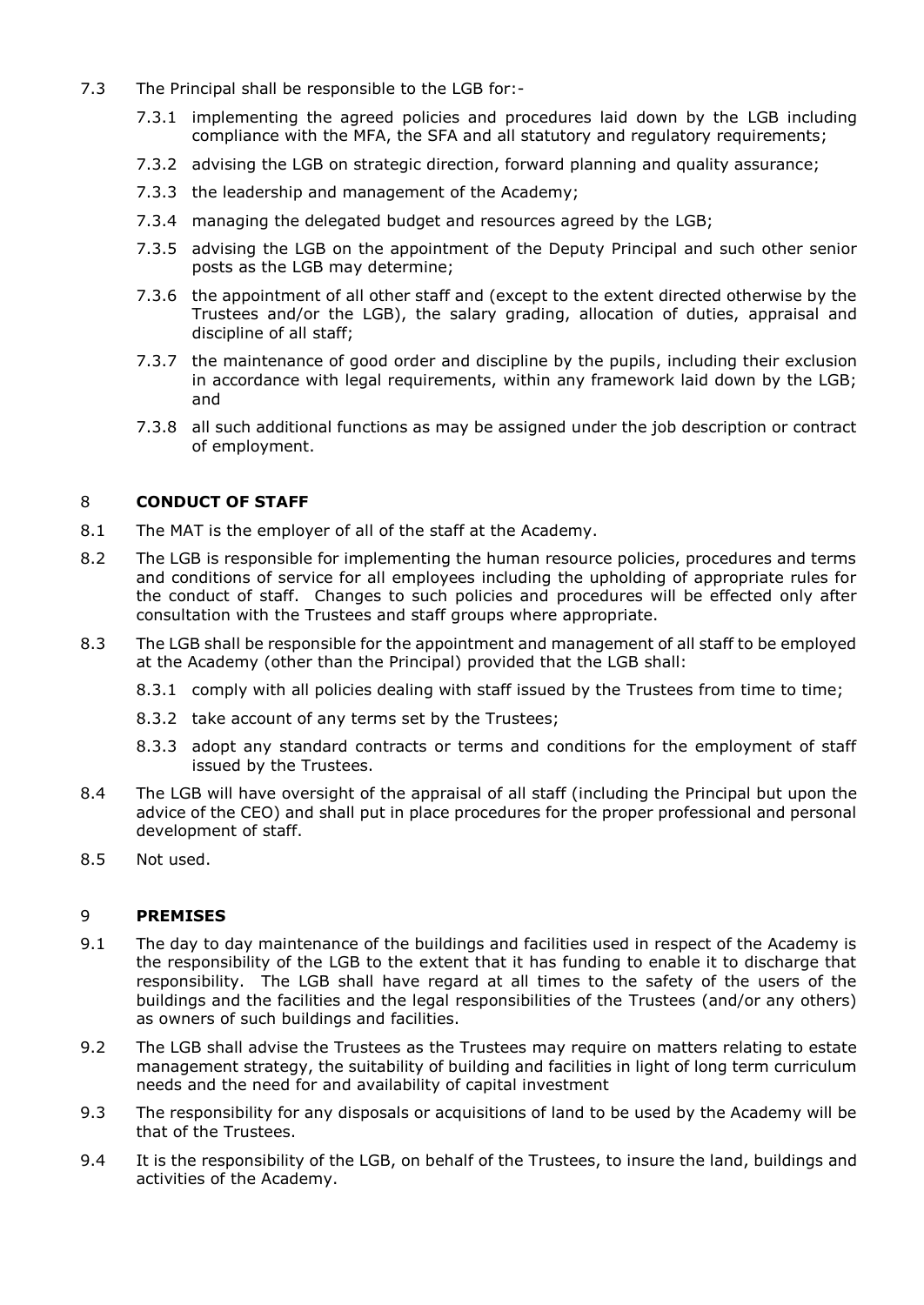- 7.3 The Principal shall be responsible to the LGB for:-
	- 7.3.1 implementing the agreed policies and procedures laid down by the LGB including compliance with the MFA, the SFA and all statutory and regulatory requirements;
	- 7.3.2 advising the LGB on strategic direction, forward planning and quality assurance;
	- 7.3.3 the leadership and management of the Academy;
	- 7.3.4 managing the delegated budget and resources agreed by the LGB;
	- 7.3.5 advising the LGB on the appointment of the Deputy Principal and such other senior posts as the LGB may determine;
	- 7.3.6 the appointment of all other staff and (except to the extent directed otherwise by the Trustees and/or the LGB), the salary grading, allocation of duties, appraisal and discipline of all staff;
	- 7.3.7 the maintenance of good order and discipline by the pupils, including their exclusion in accordance with legal requirements, within any framework laid down by the LGB; and
	- 7.3.8 all such additional functions as may be assigned under the job description or contract of employment.

## 8 **CONDUCT OF STAFF**

- 8.1 The MAT is the employer of all of the staff at the Academy.
- 8.2 The LGB is responsible for implementing the human resource policies, procedures and terms and conditions of service for all employees including the upholding of appropriate rules for the conduct of staff. Changes to such policies and procedures will be effected only after consultation with the Trustees and staff groups where appropriate.
- 8.3 The LGB shall be responsible for the appointment and management of all staff to be employed at the Academy (other than the Principal) provided that the LGB shall:
	- 8.3.1 comply with all policies dealing with staff issued by the Trustees from time to time;
	- 8.3.2 take account of any terms set by the Trustees;
	- 8.3.3 adopt any standard contracts or terms and conditions for the employment of staff issued by the Trustees.
- 8.4 The LGB will have oversight of the appraisal of all staff (including the Principal but upon the advice of the CEO) and shall put in place procedures for the proper professional and personal development of staff.
- 8.5 Not used.

#### 9 **PREMISES**

- 9.1 The day to day maintenance of the buildings and facilities used in respect of the Academy is the responsibility of the LGB to the extent that it has funding to enable it to discharge that responsibility. The LGB shall have regard at all times to the safety of the users of the buildings and the facilities and the legal responsibilities of the Trustees (and/or any others) as owners of such buildings and facilities.
- 9.2 The LGB shall advise the Trustees as the Trustees may require on matters relating to estate management strategy, the suitability of building and facilities in light of long term curriculum needs and the need for and availability of capital investment
- 9.3 The responsibility for any disposals or acquisitions of land to be used by the Academy will be that of the Trustees.
- 9.4 It is the responsibility of the LGB, on behalf of the Trustees, to insure the land, buildings and activities of the Academy.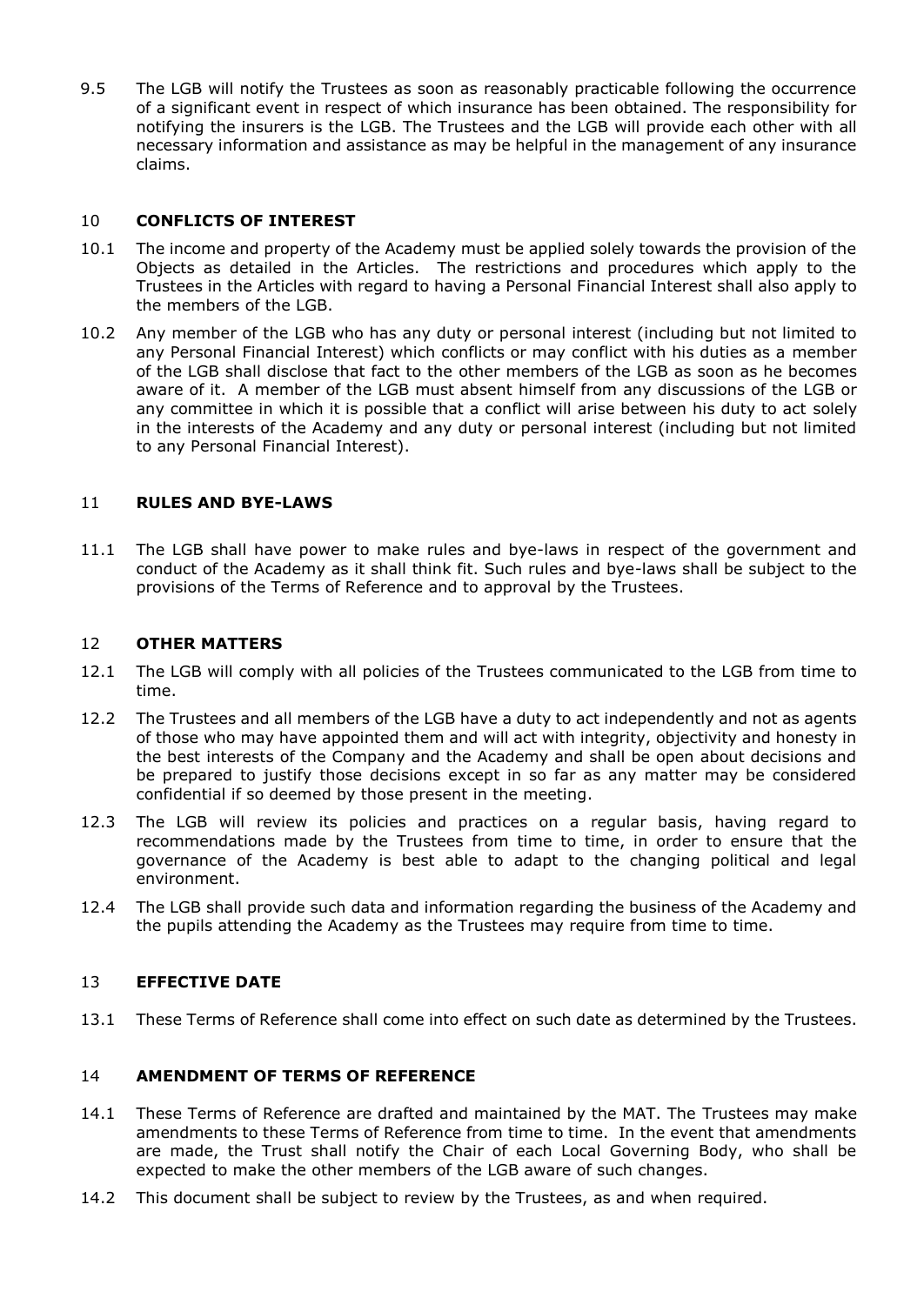9.5 The LGB will notify the Trustees as soon as reasonably practicable following the occurrence of a significant event in respect of which insurance has been obtained. The responsibility for notifying the insurers is the LGB. The Trustees and the LGB will provide each other with all necessary information and assistance as may be helpful in the management of any insurance claims.

## 10 **CONFLICTS OF INTEREST**

- 10.1 The income and property of the Academy must be applied solely towards the provision of the Objects as detailed in the Articles. The restrictions and procedures which apply to the Trustees in the Articles with regard to having a Personal Financial Interest shall also apply to the members of the LGB.
- 10.2 Any member of the LGB who has any duty or personal interest (including but not limited to any Personal Financial Interest) which conflicts or may conflict with his duties as a member of the LGB shall disclose that fact to the other members of the LGB as soon as he becomes aware of it. A member of the LGB must absent himself from any discussions of the LGB or any committee in which it is possible that a conflict will arise between his duty to act solely in the interests of the Academy and any duty or personal interest (including but not limited to any Personal Financial Interest).

### 11 **RULES AND BYE-LAWS**

11.1 The LGB shall have power to make rules and bye-laws in respect of the government and conduct of the Academy as it shall think fit. Such rules and bye-laws shall be subject to the provisions of the Terms of Reference and to approval by the Trustees.

### 12 **OTHER MATTERS**

- 12.1 The LGB will comply with all policies of the Trustees communicated to the LGB from time to time.
- 12.2 The Trustees and all members of the LGB have a duty to act independently and not as agents of those who may have appointed them and will act with integrity, objectivity and honesty in the best interests of the Company and the Academy and shall be open about decisions and be prepared to justify those decisions except in so far as any matter may be considered confidential if so deemed by those present in the meeting.
- 12.3 The LGB will review its policies and practices on a regular basis, having regard to recommendations made by the Trustees from time to time, in order to ensure that the governance of the Academy is best able to adapt to the changing political and legal environment.
- 12.4 The LGB shall provide such data and information regarding the business of the Academy and the pupils attending the Academy as the Trustees may require from time to time.

#### 13 **EFFECTIVE DATE**

13.1 These Terms of Reference shall come into effect on such date as determined by the Trustees.

#### 14 **AMENDMENT OF TERMS OF REFERENCE**

- 14.1 These Terms of Reference are drafted and maintained by the MAT. The Trustees may make amendments to these Terms of Reference from time to time. In the event that amendments are made, the Trust shall notify the Chair of each Local Governing Body, who shall be expected to make the other members of the LGB aware of such changes.
- 14.2 This document shall be subject to review by the Trustees, as and when required.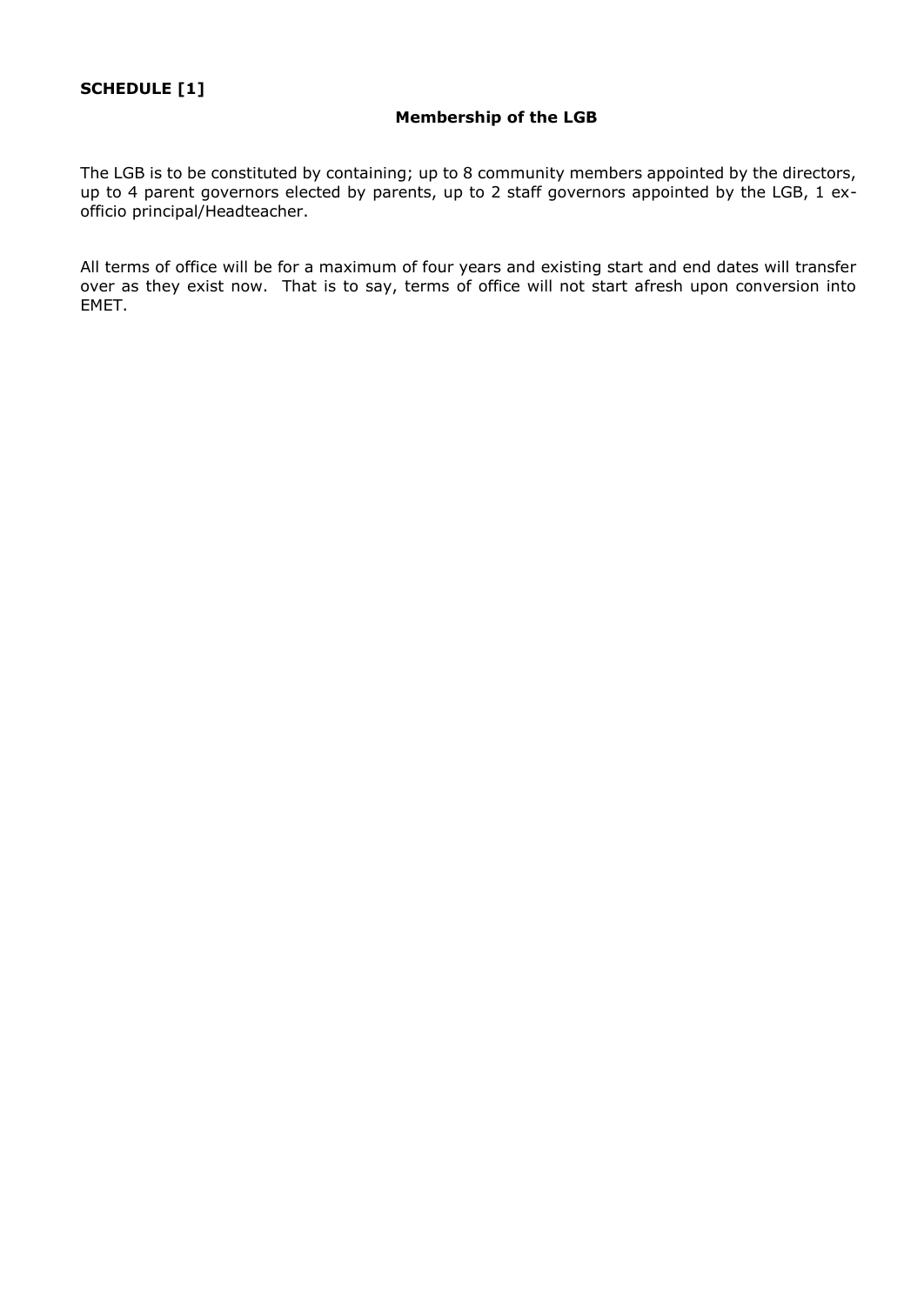#### **Membership of the LGB**

The LGB is to be constituted by containing; up to 8 community members appointed by the directors, up to 4 parent governors elected by parents, up to 2 staff governors appointed by the LGB, 1 exofficio principal/Headteacher.

All terms of office will be for a maximum of four years and existing start and end dates will transfer over as they exist now. That is to say, terms of office will not start afresh upon conversion into EMET.